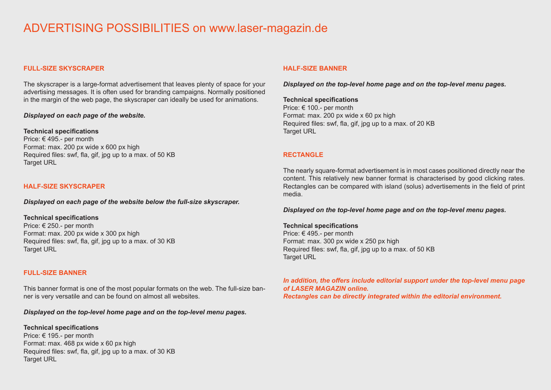# ADVERTISING POSSIBILITIES on www.laser-magazin.de

# **FULL-SIZE SKYSCRAPER**

The skyscraper is a large-format advertisement that leaves plenty of space for your advertising messages. It is often used for branding campaigns. Normally positioned in the margin of the web page, the skyscraper can ideally be used for animations.

## *Displayed on each page of the website.*

#### **Technical specifications**

Price: € 495.- per month Format: max. 200 px wide x 600 px high Required files: swf, fla, gif, jpg up to a max. of 50 KB Target URL

## **HALF-SIZE SKYSCRAPER**

*Displayed on each page of the website below the full-size skyscraper.*

#### **Technical specifications**

Price: € 250.- per month Format: max. 200 px wide x 300 px high Required files: swf, fla, gif, jpg up to a max. of 30 KB Target URL

## **FULL-SIZE BANNER**

This banner format is one of the most popular formats on the web. The full-size banner is very versatile and can be found on almost all websites.

*Displayed on the top-level home page and on the top-level menu pages.*

## **Technical specifications**

Price: € 195.- per month Format: max. 468 px wide x 60 px high Required files: swf, fla, gif, jpg up to a max. of 30 KB **Target URL** 

#### **HALF-SIZE BANNER**

*Displayed on the top-level home page and on the top-level menu pages.*

# **Technical specifications**

Price: € 100.- per month Format: max. 200 px wide x 60 px high Required files: swf, fla, gif, jpg up to a max. of 20 KB Target URL

## **RECTANGLE**

The nearly square-format advertisement is in most cases positioned directly near the content. This relatively new banner format is characterised by good clicking rates. Rectangles can be compared with island (solus) advertisements in the field of print media.

*Displayed on the top-level home page and on the top-level menu pages.*

**Technical specifications** Price: € 495.- per month Format: max. 300 px wide x 250 px high Required files: swf, fla, gif, jpg up to a max. of 50 KB Target URL

*In addition, the offers include editorial support under the top-level menu page of LASER MAGAZIN online. Rectangles can be directly integrated within the editorial environment.*